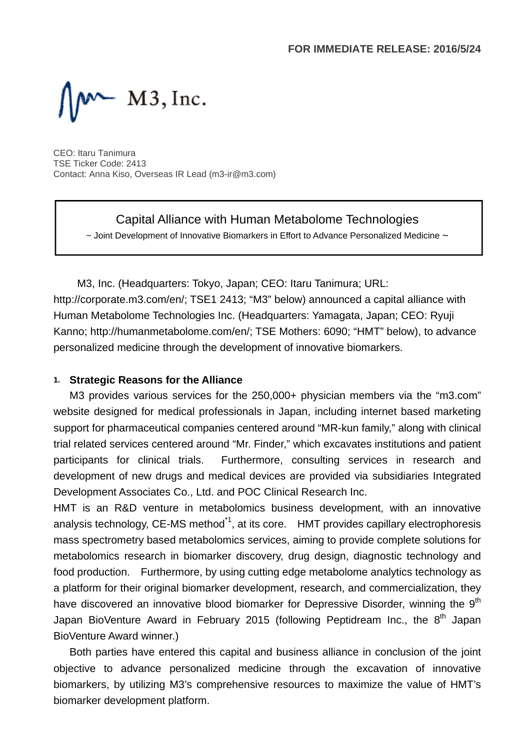$M \sim M3$ , Inc.

CEO: Itaru Tanimura TSE Ticker Code: 2413 Contact: Anna Kiso, Overseas IR Lead (m3-ir@m3.com)

Capital Alliance with Human Metabolome Technologies

 $\sim$  Joint Development of Innovative Biomarkers in Effort to Advance Personalized Medicine  $\sim$ 

M3, Inc. (Headquarters: Tokyo, Japan; CEO: Itaru Tanimura; URL: http://corporate.m3.com/en/; TSE1 2413; "M3" below) announced a capital alliance with Human Metabolome Technologies Inc. (Headquarters: Yamagata, Japan; CEO: Ryuji Kanno; http://humanmetabolome.com/en/; TSE Mothers: 6090; "HMT" below), to advance personalized medicine through the development of innovative biomarkers.

### **1. Strategic Reasons for the Alliance**

M3 provides various services for the 250,000+ physician members via the "m3.com" website designed for medical professionals in Japan, including internet based marketing support for pharmaceutical companies centered around "MR-kun family," along with clinical trial related services centered around "Mr. Finder," which excavates institutions and patient participants for clinical trials. Furthermore, consulting services in research and development of new drugs and medical devices are provided via subsidiaries Integrated Development Associates Co., Ltd. and POC Clinical Research Inc.

HMT is an R&D venture in metabolomics business development, with an innovative analysis technology, CE-MS method<sup>\*1</sup>, at its core. HMT provides capillary electrophoresis mass spectrometry based metabolomics services, aiming to provide complete solutions for metabolomics research in biomarker discovery, drug design, diagnostic technology and food production. Furthermore, by using cutting edge metabolome analytics technology as a platform for their original biomarker development, research, and commercialization, they have discovered an innovative blood biomarker for Depressive Disorder, winning the 9<sup>th</sup> Japan BioVenture Award in February 2015 (following Peptidream Inc., the  $8^{th}$  Japan BioVenture Award winner.)

Both parties have entered this capital and business alliance in conclusion of the joint objective to advance personalized medicine through the excavation of innovative biomarkers, by utilizing M3's comprehensive resources to maximize the value of HMT's biomarker development platform.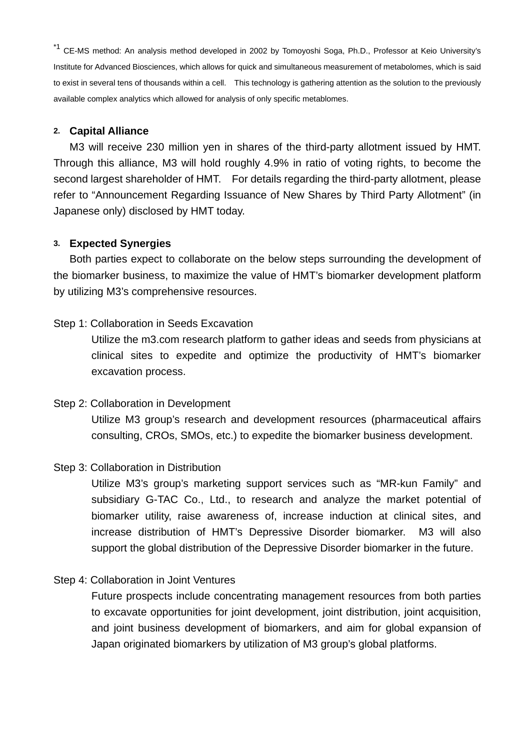<sup>\*1</sup> CE-MS method: An analysis method developed in 2002 by Tomoyoshi Soga, Ph.D., Professor at Keio University's Institute for Advanced Biosciences, which allows for quick and simultaneous measurement of metabolomes, which is said to exist in several tens of thousands within a cell. This technology is gathering attention as the solution to the previously available complex analytics which allowed for analysis of only specific metablomes.

#### **2. Capital Alliance**

M3 will receive 230 million yen in shares of the third-party allotment issued by HMT. Through this alliance, M3 will hold roughly 4.9% in ratio of voting rights, to become the second largest shareholder of HMT. For details regarding the third-party allotment, please refer to "Announcement Regarding Issuance of New Shares by Third Party Allotment" (in Japanese only) disclosed by HMT today.

#### **3. Expected Synergies**

Both parties expect to collaborate on the below steps surrounding the development of the biomarker business, to maximize the value of HMT's biomarker development platform by utilizing M3's comprehensive resources.

#### Step 1: Collaboration in Seeds Excavation

Utilize the m3.com research platform to gather ideas and seeds from physicians at clinical sites to expedite and optimize the productivity of HMT's biomarker excavation process.

Step 2: Collaboration in Development Utilize M3 group's research and development resources (pharmaceutical affairs consulting, CROs, SMOs, etc.) to expedite the biomarker business development.

#### Step 3: Collaboration in Distribution

Utilize M3's group's marketing support services such as "MR-kun Family" and subsidiary G-TAC Co., Ltd., to research and analyze the market potential of biomarker utility, raise awareness of, increase induction at clinical sites, and increase distribution of HMT's Depressive Disorder biomarker. M3 will also support the global distribution of the Depressive Disorder biomarker in the future.

#### Step 4: Collaboration in Joint Ventures

Future prospects include concentrating management resources from both parties to excavate opportunities for joint development, joint distribution, joint acquisition, and joint business development of biomarkers, and aim for global expansion of Japan originated biomarkers by utilization of M3 group's global platforms.